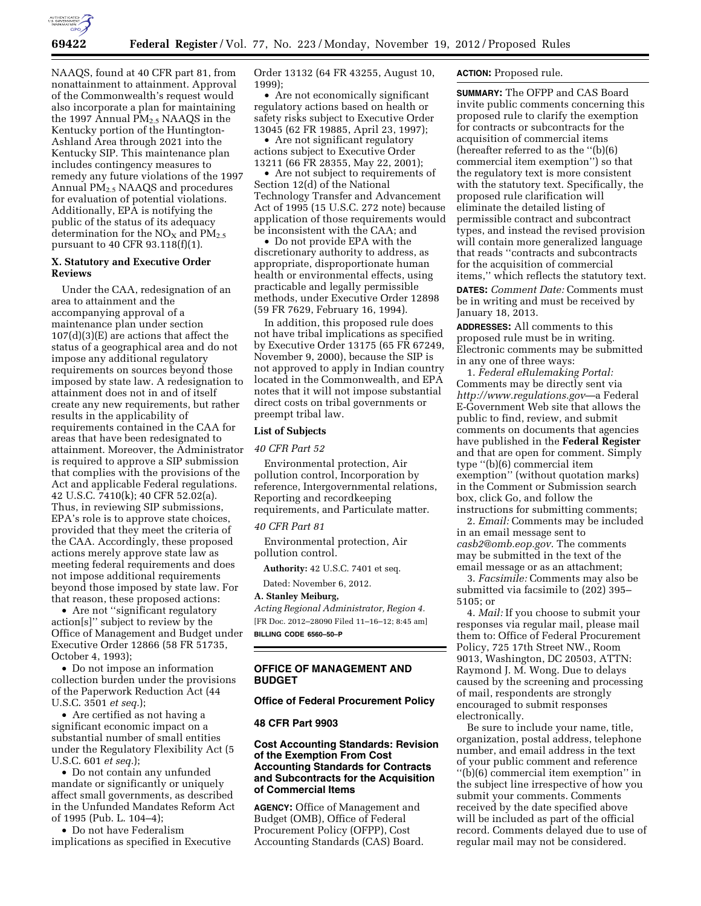

NAAQS, found at 40 CFR part 81, from nonattainment to attainment. Approval of the Commonwealth's request would also incorporate a plan for maintaining the 1997 Annual  $PM<sub>2.5</sub> NAAQS$  in the Kentucky portion of the Huntington-Ashland Area through 2021 into the Kentucky SIP. This maintenance plan includes contingency measures to remedy any future violations of the 1997 Annual PM2.5 NAAQS and procedures for evaluation of potential violations. Additionally, EPA is notifying the public of the status of its adequacy determination for the  $NO<sub>X</sub>$  and  $PM<sub>2.5</sub>$ pursuant to 40 CFR 93.118(f)(1).

# **X. Statutory and Executive Order Reviews**

Under the CAA, redesignation of an area to attainment and the accompanying approval of a maintenance plan under section  $107(d)(3)(E)$  are actions that affect the status of a geographical area and do not impose any additional regulatory requirements on sources beyond those imposed by state law. A redesignation to attainment does not in and of itself create any new requirements, but rather results in the applicability of requirements contained in the CAA for areas that have been redesignated to attainment. Moreover, the Administrator is required to approve a SIP submission that complies with the provisions of the Act and applicable Federal regulations. 42 U.S.C. 7410(k); 40 CFR 52.02(a). Thus, in reviewing SIP submissions, EPA's role is to approve state choices, provided that they meet the criteria of the CAA. Accordingly, these proposed actions merely approve state law as meeting federal requirements and does not impose additional requirements beyond those imposed by state law. For that reason, these proposed actions:

• Are not ''significant regulatory action[s]'' subject to review by the Office of Management and Budget under Executive Order 12866 (58 FR 51735, October 4, 1993);

• Do not impose an information collection burden under the provisions of the Paperwork Reduction Act (44 U.S.C. 3501 *et seq.*);

• Are certified as not having a significant economic impact on a substantial number of small entities under the Regulatory Flexibility Act (5 U.S.C. 601 *et seq.*);

• Do not contain any unfunded mandate or significantly or uniquely affect small governments, as described in the Unfunded Mandates Reform Act of 1995 (Pub. L. 104–4);

• Do not have Federalism implications as specified in Executive Order 13132 (64 FR 43255, August 10, 1999);

• Are not economically significant regulatory actions based on health or safety risks subject to Executive Order 13045 (62 FR 19885, April 23, 1997);

• Are not significant regulatory actions subject to Executive Order 13211 (66 FR 28355, May 22, 2001);

• Are not subject to requirements of Section 12(d) of the National Technology Transfer and Advancement Act of 1995 (15 U.S.C. 272 note) because application of those requirements would be inconsistent with the CAA; and

• Do not provide EPA with the discretionary authority to address, as appropriate, disproportionate human health or environmental effects, using practicable and legally permissible methods, under Executive Order 12898 (59 FR 7629, February 16, 1994).

In addition, this proposed rule does not have tribal implications as specified by Executive Order 13175 (65 FR 67249, November 9, 2000), because the SIP is not approved to apply in Indian country located in the Commonwealth, and EPA notes that it will not impose substantial direct costs on tribal governments or preempt tribal law.

#### **List of Subjects**

#### *40 CFR Part 52*

Environmental protection, Air pollution control, Incorporation by reference, Intergovernmental relations, Reporting and recordkeeping requirements, and Particulate matter.

#### *40 CFR Part 81*

Environmental protection, Air pollution control.

**Authority:** 42 U.S.C. 7401 et seq.

Dated: November 6, 2012.

**A. Stanley Meiburg,** 

*Acting Regional Administrator, Region 4.*  [FR Doc. 2012–28090 Filed 11–16–12; 8:45 am] **BILLING CODE 6560–50–P** 

### **OFFICE OF MANAGEMENT AND BUDGET**

#### **Office of Federal Procurement Policy**

#### **48 CFR Part 9903**

# **Cost Accounting Standards: Revision of the Exemption From Cost Accounting Standards for Contracts and Subcontracts for the Acquisition of Commercial Items**

**AGENCY:** Office of Management and Budget (OMB), Office of Federal Procurement Policy (OFPP), Cost Accounting Standards (CAS) Board.

# **ACTION:** Proposed rule.

**SUMMARY:** The OFPP and CAS Board invite public comments concerning this proposed rule to clarify the exemption for contracts or subcontracts for the acquisition of commercial items (hereafter referred to as the ''(b)(6) commercial item exemption'') so that the regulatory text is more consistent with the statutory text. Specifically, the proposed rule clarification will eliminate the detailed listing of permissible contract and subcontract types, and instead the revised provision will contain more generalized language that reads ''contracts and subcontracts for the acquisition of commercial items,'' which reflects the statutory text.

**DATES:** *Comment Date:* Comments must be in writing and must be received by January 18, 2013.

**ADDRESSES:** All comments to this proposed rule must be in writing. Electronic comments may be submitted in any one of three ways:

1. *Federal eRulemaking Portal:*  Comments may be directly sent via *<http://www.regulations.gov>*—a Federal E-Government Web site that allows the public to find, review, and submit comments on documents that agencies have published in the **Federal Register**  and that are open for comment. Simply type ''(b)(6) commercial item exemption'' (without quotation marks) in the Comment or Submission search box, click Go, and follow the instructions for submitting comments;

2. *Email:* Comments may be included in an email message sent to *[casb2@omb.eop.gov](mailto:casb2@omb.eop.gov)*. The comments may be submitted in the text of the email message or as an attachment;

3. *Facsimile:* Comments may also be submitted via facsimile to (202) 395– 5105; or

4. *Mail:* If you choose to submit your responses via regular mail, please mail them to: Office of Federal Procurement Policy, 725 17th Street NW., Room 9013, Washington, DC 20503, ATTN: Raymond J. M. Wong. Due to delays caused by the screening and processing of mail, respondents are strongly encouraged to submit responses electronically.

Be sure to include your name, title, organization, postal address, telephone number, and email address in the text of your public comment and reference ''(b)(6) commercial item exemption'' in the subject line irrespective of how you submit your comments. Comments received by the date specified above will be included as part of the official record. Comments delayed due to use of regular mail may not be considered.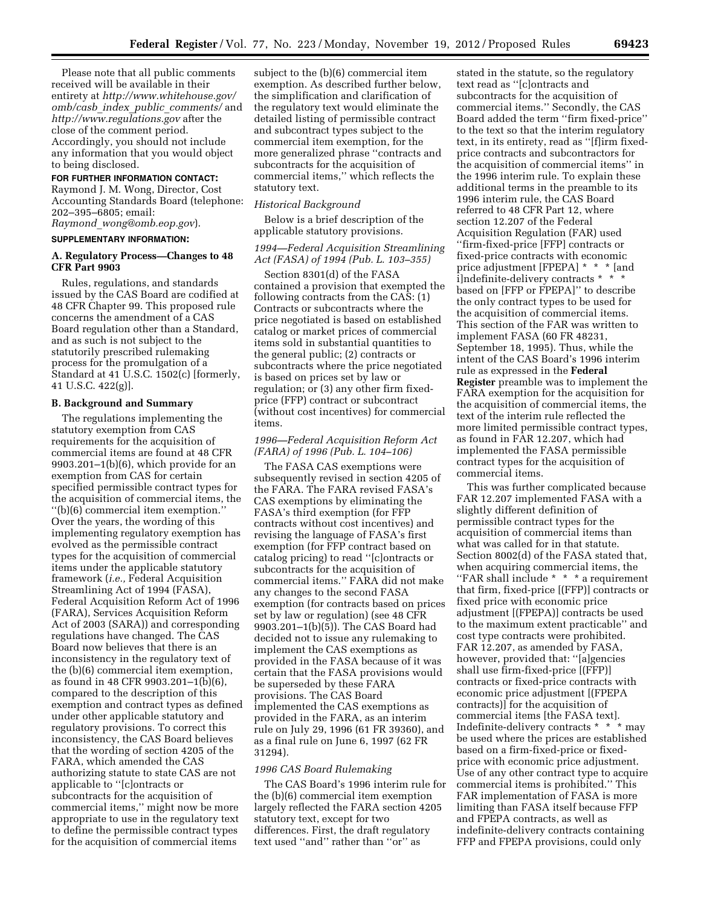Please note that all public comments received will be available in their entirety at *[http://www.whitehouse.gov/](http://www.whitehouse.gov/omb/casb_index_public_comments/) omb/casb*\_*index*\_*public*\_*[comments/](http://www.whitehouse.gov/omb/casb_index_public_comments/)* and *<http://www.regulations.gov>* after the close of the comment period. Accordingly, you should not include any information that you would object to being disclosed.

#### **FOR FURTHER INFORMATION CONTACT:**

Raymond J. M. Wong, Director, Cost Accounting Standards Board (telephone: 202–395–6805; email: *Raymond*\_*[wong@omb.eop.gov](mailto:Raymond_wong@omb.eop.gov)*).

## **SUPPLEMENTARY INFORMATION:**

### **A. Regulatory Process—Changes to 48 CFR Part 9903**

Rules, regulations, and standards issued by the CAS Board are codified at 48 CFR Chapter 99. This proposed rule concerns the amendment of a CAS Board regulation other than a Standard, and as such is not subject to the statutorily prescribed rulemaking process for the promulgation of a Standard at 41 U.S.C. 1502(c) [formerly, 41 U.S.C. 422(g)].

### **B. Background and Summary**

The regulations implementing the statutory exemption from CAS requirements for the acquisition of commercial items are found at 48 CFR 9903.201–1(b)(6), which provide for an exemption from CAS for certain specified permissible contract types for the acquisition of commercial items, the ''(b)(6) commercial item exemption.'' Over the years, the wording of this implementing regulatory exemption has evolved as the permissible contract types for the acquisition of commercial items under the applicable statutory framework (*i.e.,* Federal Acquisition Streamlining Act of 1994 (FASA), Federal Acquisition Reform Act of 1996 (FARA), Services Acquisition Reform Act of 2003 (SARA)) and corresponding regulations have changed. The CAS Board now believes that there is an inconsistency in the regulatory text of the (b)(6) commercial item exemption, as found in 48 CFR 9903.201–1(b)(6), compared to the description of this exemption and contract types as defined under other applicable statutory and regulatory provisions. To correct this inconsistency, the CAS Board believes that the wording of section 4205 of the FARA, which amended the CAS authorizing statute to state CAS are not applicable to ''[c]ontracts or subcontracts for the acquisition of commercial items,'' might now be more appropriate to use in the regulatory text to define the permissible contract types for the acquisition of commercial items

subject to the (b)(6) commercial item exemption. As described further below, the simplification and clarification of the regulatory text would eliminate the detailed listing of permissible contract and subcontract types subject to the commercial item exemption, for the more generalized phrase ''contracts and subcontracts for the acquisition of commercial items,'' which reflects the statutory text.

#### *Historical Background*

Below is a brief description of the applicable statutory provisions.

### *1994—Federal Acquisition Streamlining Act (FASA) of 1994 (Pub. L. 103–355)*

Section 8301(d) of the FASA contained a provision that exempted the following contracts from the CAS: (1) Contracts or subcontracts where the price negotiated is based on established catalog or market prices of commercial items sold in substantial quantities to the general public; (2) contracts or subcontracts where the price negotiated is based on prices set by law or regulation; or (3) any other firm fixedprice (FFP) contract or subcontract (without cost incentives) for commercial items.

### *1996—Federal Acquisition Reform Act (FARA) of 1996 (Pub. L. 104–106)*

The FASA CAS exemptions were subsequently revised in section 4205 of the FARA. The FARA revised FASA's CAS exemptions by eliminating the FASA's third exemption (for FFP contracts without cost incentives) and revising the language of FASA's first exemption (for FFP contract based on catalog pricing) to read ''[c]ontracts or subcontracts for the acquisition of commercial items.'' FARA did not make any changes to the second FASA exemption (for contracts based on prices set by law or regulation) (see 48 CFR 9903.201–1(b)(5)). The CAS Board had decided not to issue any rulemaking to implement the CAS exemptions as provided in the FASA because of it was certain that the FASA provisions would be superseded by these FARA provisions. The CAS Board implemented the CAS exemptions as provided in the FARA, as an interim rule on July 29, 1996 (61 FR 39360), and as a final rule on June 6, 1997 (62 FR 31294).

#### *1996 CAS Board Rulemaking*

The CAS Board's 1996 interim rule for the (b)(6) commercial item exemption largely reflected the FARA section 4205 statutory text, except for two differences. First, the draft regulatory text used ''and'' rather than ''or'' as

stated in the statute, so the regulatory text read as ''[c]ontracts and subcontracts for the acquisition of commercial items.'' Secondly, the CAS Board added the term ''firm fixed-price'' to the text so that the interim regulatory text, in its entirety, read as ''[f]irm fixedprice contracts and subcontractors for the acquisition of commercial items'' in the 1996 interim rule. To explain these additional terms in the preamble to its 1996 interim rule, the CAS Board referred to 48 CFR Part 12, where section 12.207 of the Federal Acquisition Regulation (FAR) used ''firm-fixed-price [FFP] contracts or fixed-price contracts with economic price adjustment [FPEPA] \* \* \* [and i]ndefinite-delivery contracts \* \* \* based on [FFP or FPEPA]'' to describe the only contract types to be used for the acquisition of commercial items. This section of the FAR was written to implement FASA (60 FR 48231, September 18, 1995). Thus, while the intent of the CAS Board's 1996 interim rule as expressed in the **Federal Register** preamble was to implement the FARA exemption for the acquisition for the acquisition of commercial items, the text of the interim rule reflected the more limited permissible contract types, as found in FAR 12.207, which had implemented the FASA permissible contract types for the acquisition of commercial items.

This was further complicated because FAR 12.207 implemented FASA with a slightly different definition of permissible contract types for the acquisition of commercial items than what was called for in that statute. Section 8002(d) of the FASA stated that, when acquiring commercial items, the ''FAR shall include \* \* \* a requirement that firm, fixed-price [(FFP)] contracts or fixed price with economic price adjustment [(FPEPA)] contracts be used to the maximum extent practicable'' and cost type contracts were prohibited. FAR 12.207, as amended by FASA, however, provided that: ''[a]gencies shall use firm-fixed-price [(FFP)] contracts or fixed-price contracts with economic price adjustment [(FPEPA contracts)] for the acquisition of commercial items [the FASA text]. Indefinite-delivery contracts \* \* \* may be used where the prices are established based on a firm-fixed-price or fixedprice with economic price adjustment. Use of any other contract type to acquire commercial items is prohibited.'' This FAR implementation of FASA is more limiting than FASA itself because FFP and FPEPA contracts, as well as indefinite-delivery contracts containing FFP and FPEPA provisions, could only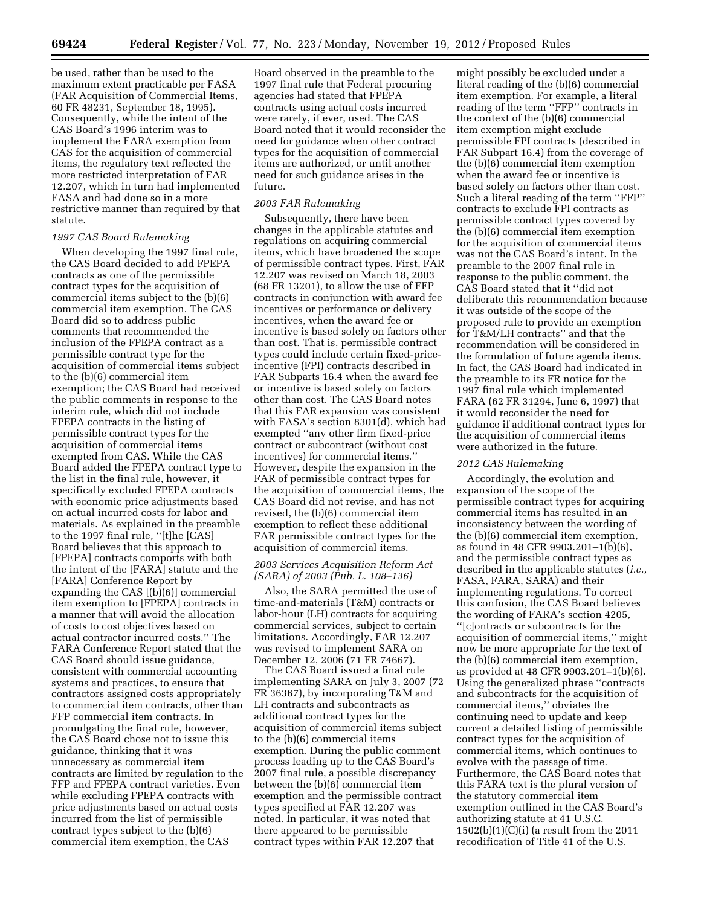be used, rather than be used to the maximum extent practicable per FASA (FAR Acquisition of Commercial Items, 60 FR 48231, September 18, 1995). Consequently, while the intent of the CAS Board's 1996 interim was to implement the FARA exemption from CAS for the acquisition of commercial items, the regulatory text reflected the more restricted interpretation of FAR 12.207, which in turn had implemented FASA and had done so in a more restrictive manner than required by that statute.

### *1997 CAS Board Rulemaking*

When developing the 1997 final rule, the CAS Board decided to add FPEPA contracts as one of the permissible contract types for the acquisition of commercial items subject to the (b)(6) commercial item exemption. The CAS Board did so to address public comments that recommended the inclusion of the FPEPA contract as a permissible contract type for the acquisition of commercial items subject to the (b)(6) commercial item exemption; the CAS Board had received the public comments in response to the interim rule, which did not include FPEPA contracts in the listing of permissible contract types for the acquisition of commercial items exempted from CAS. While the CAS Board added the FPEPA contract type to the list in the final rule, however, it specifically excluded FPEPA contracts with economic price adjustments based on actual incurred costs for labor and materials. As explained in the preamble to the 1997 final rule, ''[t]he [CAS] Board believes that this approach to [FPEPA] contracts comports with both the intent of the [FARA] statute and the [FARA] Conference Report by expanding the CAS [(b)(6)] commercial item exemption to [FPEPA] contracts in a manner that will avoid the allocation of costs to cost objectives based on actual contractor incurred costs.'' The FARA Conference Report stated that the CAS Board should issue guidance, consistent with commercial accounting systems and practices, to ensure that contractors assigned costs appropriately to commercial item contracts, other than FFP commercial item contracts. In promulgating the final rule, however, the CAS Board chose not to issue this guidance, thinking that it was unnecessary as commercial item contracts are limited by regulation to the FFP and FPEPA contract varieties. Even while excluding FPEPA contracts with price adjustments based on actual costs incurred from the list of permissible contract types subject to the (b)(6) commercial item exemption, the CAS

Board observed in the preamble to the 1997 final rule that Federal procuring agencies had stated that FPEPA contracts using actual costs incurred were rarely, if ever, used. The CAS Board noted that it would reconsider the need for guidance when other contract types for the acquisition of commercial items are authorized, or until another need for such guidance arises in the future.

## *2003 FAR Rulemaking*

Subsequently, there have been changes in the applicable statutes and regulations on acquiring commercial items, which have broadened the scope of permissible contract types. First, FAR 12.207 was revised on March 18, 2003 (68 FR 13201), to allow the use of FFP contracts in conjunction with award fee incentives or performance or delivery incentives, when the award fee or incentive is based solely on factors other than cost. That is, permissible contract types could include certain fixed-priceincentive (FPI) contracts described in FAR Subparts 16.4 when the award fee or incentive is based solely on factors other than cost. The CAS Board notes that this FAR expansion was consistent with FASA's section 8301(d), which had exempted ''any other firm fixed-price contract or subcontract (without cost incentives) for commercial items.'' However, despite the expansion in the FAR of permissible contract types for the acquisition of commercial items, the CAS Board did not revise, and has not revised, the (b)(6) commercial item exemption to reflect these additional FAR permissible contract types for the acquisition of commercial items.

## *2003 Services Acquisition Reform Act (SARA) of 2003 (Pub. L. 108–136)*

Also, the SARA permitted the use of time-and-materials (T&M) contracts or labor-hour (LH) contracts for acquiring commercial services, subject to certain limitations. Accordingly, FAR 12.207 was revised to implement SARA on December 12, 2006 (71 FR 74667).

The CAS Board issued a final rule implementing SARA on July 3, 2007 (72 FR 36367), by incorporating T&M and LH contracts and subcontracts as additional contract types for the acquisition of commercial items subject to the (b)(6) commercial items exemption. During the public comment process leading up to the CAS Board's 2007 final rule, a possible discrepancy between the (b)(6) commercial item exemption and the permissible contract types specified at FAR 12.207 was noted. In particular, it was noted that there appeared to be permissible contract types within FAR 12.207 that

might possibly be excluded under a literal reading of the (b)(6) commercial item exemption. For example, a literal reading of the term ''FFP'' contracts in the context of the (b)(6) commercial item exemption might exclude permissible FPI contracts (described in FAR Subpart 16.4) from the coverage of the (b)(6) commercial item exemption when the award fee or incentive is based solely on factors other than cost. Such a literal reading of the term ''FFP'' contracts to exclude FPI contracts as permissible contract types covered by the (b)(6) commercial item exemption for the acquisition of commercial items was not the CAS Board's intent. In the preamble to the 2007 final rule in response to the public comment, the CAS Board stated that it ''did not deliberate this recommendation because it was outside of the scope of the proposed rule to provide an exemption for T&M/LH contracts'' and that the recommendation will be considered in the formulation of future agenda items. In fact, the CAS Board had indicated in the preamble to its FR notice for the 1997 final rule which implemented FARA (62 FR 31294, June 6, 1997) that it would reconsider the need for guidance if additional contract types for the acquisition of commercial items were authorized in the future.

# *2012 CAS Rulemaking*

Accordingly, the evolution and expansion of the scope of the permissible contract types for acquiring commercial items has resulted in an inconsistency between the wording of the (b)(6) commercial item exemption, as found in 48 CFR 9903.201–1(b)(6), and the permissible contract types as described in the applicable statutes (*i.e.,*  FASA, FARA, SARA) and their implementing regulations. To correct this confusion, the CAS Board believes the wording of FARA's section 4205, ''[c]ontracts or subcontracts for the acquisition of commercial items,'' might now be more appropriate for the text of the (b)(6) commercial item exemption, as provided at 48 CFR 9903.201–1(b)(6). Using the generalized phrase ''contracts and subcontracts for the acquisition of commercial items,'' obviates the continuing need to update and keep current a detailed listing of permissible contract types for the acquisition of commercial items, which continues to evolve with the passage of time. Furthermore, the CAS Board notes that this FARA text is the plural version of the statutory commercial item exemption outlined in the CAS Board's authorizing statute at 41 U.S.C. 1502(b)(1)(C)(i) (a result from the 2011 recodification of Title 41 of the U.S.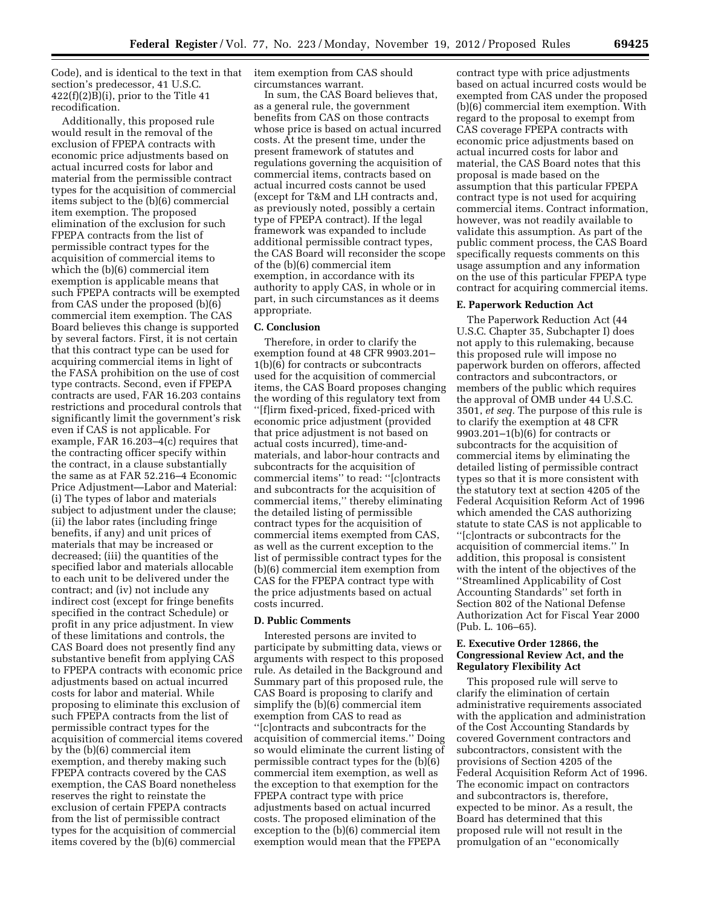Code), and is identical to the text in that section's predecessor, 41 U.S.C.  $422(f)(2)B(f)$ , prior to the Title 41 recodification.

Additionally, this proposed rule would result in the removal of the exclusion of FPEPA contracts with economic price adjustments based on actual incurred costs for labor and material from the permissible contract types for the acquisition of commercial items subject to the (b)(6) commercial item exemption. The proposed elimination of the exclusion for such FPEPA contracts from the list of permissible contract types for the acquisition of commercial items to which the (b)(6) commercial item exemption is applicable means that such FPEPA contracts will be exempted from CAS under the proposed (b)(6) commercial item exemption. The CAS Board believes this change is supported by several factors. First, it is not certain that this contract type can be used for acquiring commercial items in light of the FASA prohibition on the use of cost type contracts. Second, even if FPEPA contracts are used, FAR 16.203 contains restrictions and procedural controls that significantly limit the government's risk even if CAS is not applicable. For example, FAR 16.203–4(c) requires that the contracting officer specify within the contract, in a clause substantially the same as at FAR 52.216–4 Economic Price Adjustment—Labor and Material: (i) The types of labor and materials subject to adjustment under the clause; (ii) the labor rates (including fringe benefits, if any) and unit prices of materials that may be increased or decreased; (iii) the quantities of the specified labor and materials allocable to each unit to be delivered under the contract; and (iv) not include any indirect cost (except for fringe benefits specified in the contract Schedule) or profit in any price adjustment. In view of these limitations and controls, the CAS Board does not presently find any substantive benefit from applying CAS to FPEPA contracts with economic price adjustments based on actual incurred costs for labor and material. While proposing to eliminate this exclusion of such FPEPA contracts from the list of permissible contract types for the acquisition of commercial items covered by the (b)(6) commercial item exemption, and thereby making such FPEPA contracts covered by the CAS exemption, the CAS Board nonetheless reserves the right to reinstate the exclusion of certain FPEPA contracts from the list of permissible contract types for the acquisition of commercial items covered by the (b)(6) commercial

item exemption from CAS should circumstances warrant.

In sum, the CAS Board believes that, as a general rule, the government benefits from CAS on those contracts whose price is based on actual incurred costs. At the present time, under the present framework of statutes and regulations governing the acquisition of commercial items, contracts based on actual incurred costs cannot be used (except for T&M and LH contracts and, as previously noted, possibly a certain type of FPEPA contract). If the legal framework was expanded to include additional permissible contract types, the CAS Board will reconsider the scope of the (b)(6) commercial item exemption, in accordance with its authority to apply CAS, in whole or in part, in such circumstances as it deems appropriate.

#### **C. Conclusion**

Therefore, in order to clarify the exemption found at 48 CFR 9903.201– 1(b)(6) for contracts or subcontracts used for the acquisition of commercial items, the CAS Board proposes changing the wording of this regulatory text from ''[f]irm fixed-priced, fixed-priced with economic price adjustment (provided that price adjustment is not based on actual costs incurred), time-andmaterials, and labor-hour contracts and subcontracts for the acquisition of commercial items'' to read: ''[c]ontracts and subcontracts for the acquisition of commercial items,'' thereby eliminating the detailed listing of permissible contract types for the acquisition of commercial items exempted from CAS, as well as the current exception to the list of permissible contract types for the (b)(6) commercial item exemption from CAS for the FPEPA contract type with the price adjustments based on actual costs incurred.

# **D. Public Comments**

Interested persons are invited to participate by submitting data, views or arguments with respect to this proposed rule. As detailed in the Background and Summary part of this proposed rule, the CAS Board is proposing to clarify and simplify the (b)(6) commercial item exemption from CAS to read as ''[c]ontracts and subcontracts for the acquisition of commercial items.'' Doing so would eliminate the current listing of permissible contract types for the (b)(6) commercial item exemption, as well as the exception to that exemption for the FPEPA contract type with price adjustments based on actual incurred costs. The proposed elimination of the exception to the (b)(6) commercial item exemption would mean that the FPEPA

contract type with price adjustments based on actual incurred costs would be exempted from CAS under the proposed (b)(6) commercial item exemption. With regard to the proposal to exempt from CAS coverage FPEPA contracts with economic price adjustments based on actual incurred costs for labor and material, the CAS Board notes that this proposal is made based on the assumption that this particular FPEPA contract type is not used for acquiring commercial items. Contract information, however, was not readily available to validate this assumption. As part of the public comment process, the CAS Board specifically requests comments on this usage assumption and any information on the use of this particular FPEPA type contract for acquiring commercial items.

#### **E. Paperwork Reduction Act**

The Paperwork Reduction Act (44 U.S.C. Chapter 35, Subchapter I) does not apply to this rulemaking, because this proposed rule will impose no paperwork burden on offerors, affected contractors and subcontractors, or members of the public which requires the approval of OMB under 44 U.S.C. 3501, *et seq.* The purpose of this rule is to clarify the exemption at 48 CFR 9903.201–1(b)(6) for contracts or subcontracts for the acquisition of commercial items by eliminating the detailed listing of permissible contract types so that it is more consistent with the statutory text at section 4205 of the Federal Acquisition Reform Act of 1996 which amended the CAS authorizing statute to state CAS is not applicable to ''[c]ontracts or subcontracts for the acquisition of commercial items.'' In addition, this proposal is consistent with the intent of the objectives of the ''Streamlined Applicability of Cost Accounting Standards'' set forth in Section 802 of the National Defense Authorization Act for Fiscal Year 2000 (Pub. L. 106–65).

## **E. Executive Order 12866, the Congressional Review Act, and the Regulatory Flexibility Act**

This proposed rule will serve to clarify the elimination of certain administrative requirements associated with the application and administration of the Cost Accounting Standards by covered Government contractors and subcontractors, consistent with the provisions of Section 4205 of the Federal Acquisition Reform Act of 1996. The economic impact on contractors and subcontractors is, therefore, expected to be minor. As a result, the Board has determined that this proposed rule will not result in the promulgation of an ''economically